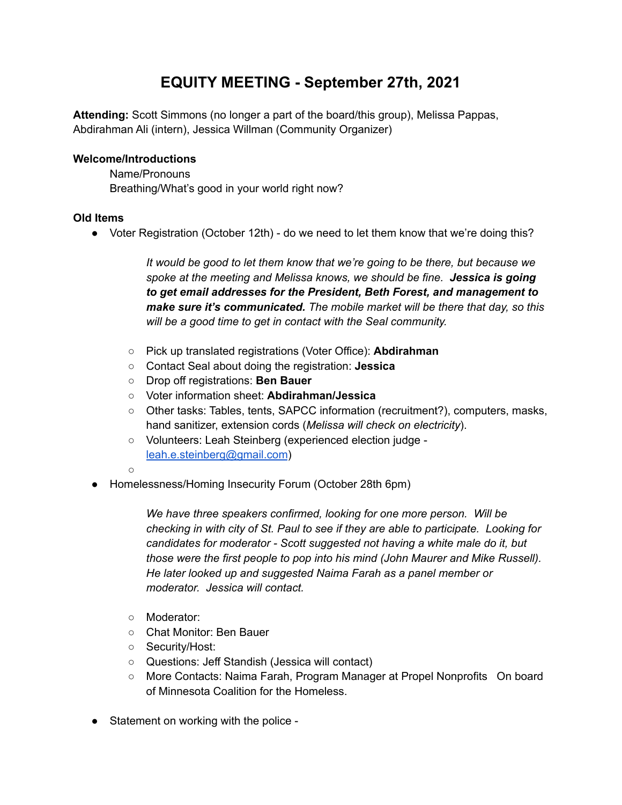# **EQUITY MEETING - September 27th, 2021**

**Attending:** Scott Simmons (no longer a part of the board/this group), Melissa Pappas, Abdirahman Ali (intern), Jessica Willman (Community Organizer)

## **Welcome/Introductions**

Name/Pronouns Breathing/What's good in your world right now?

### **Old Items**

• Voter Registration (October 12th) - do we need to let them know that we're doing this?

*It would be good to let them know that we're going to be there, but because we spoke at the meeting and Melissa knows, we should be fine. Jessica is going to get email addresses for the President, Beth Forest, and management to make sure it's communicated. The mobile market will be there that day, so this will be a good time to get in contact with the Seal community.*

- Pick up translated registrations (Voter Office): **Abdirahman**
- Contact Seal about doing the registration: **Jessica**
- Drop off registrations: **Ben Bauer**
- Voter information sheet: **Abdirahman/Jessica**
- Other tasks: Tables, tents, SAPCC information (recruitment?), computers, masks, hand sanitizer, extension cords (*Melissa will check on electricity*).
- Volunteers: Leah Steinberg (experienced election judge [leah.e.steinberg@gmail.com](mailto:leah.e.steinberg@gmail.com))
- ○
- Homelessness/Homing Insecurity Forum (October 28th 6pm)

*We have three speakers confirmed, looking for one more person. Will be checking in with city of St. Paul to see if they are able to participate. Looking for candidates for moderator - Scott suggested not having a white male do it, but those were the first people to pop into his mind (John Maurer and Mike Russell). He later looked up and suggested Naima Farah as a panel member or moderator. Jessica will contact.*

- Moderator:
- Chat Monitor: Ben Bauer
- Security/Host:
- Questions: Jeff Standish (Jessica will contact)
- More Contacts: Naima Farah, Program Manager at Propel Nonprofits On board of Minnesota Coalition for the Homeless.
- Statement on working with the police -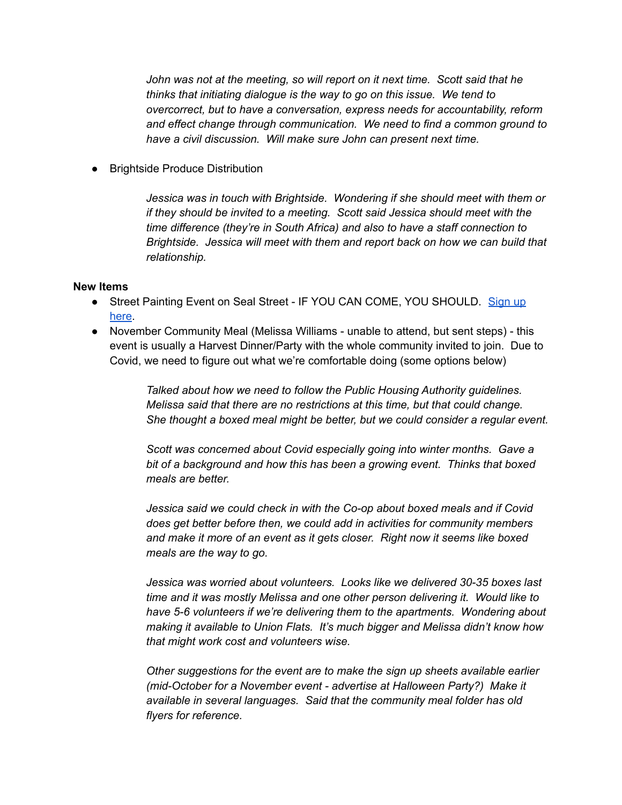*John was not at the meeting, so will report on it next time. Scott said that he thinks that initiating dialogue is the way to go on this issue. We tend to overcorrect, but to have a conversation, express needs for accountability, reform and effect change through communication. We need to find a common ground to have a civil discussion. Will make sure John can present next time.*

● Brightside Produce Distribution

*Jessica was in touch with Brightside. Wondering if she should meet with them or if they should be invited to a meeting. Scott said Jessica should meet with the time difference (they're in South Africa) and also to have a staff connection to Brightside. Jessica will meet with them and report back on how we can build that relationship.*

#### **New Items**

- Street Painting Event on Seal Street IF YOU CAN COME, YOU SHOULD. [Sign](https://docs.google.com/forms/d/10e1r2_6BUxb_1yKM6953uKihPnIwY_kuTnS7CE2r_Uo/edit?usp=sharing) up [here](https://docs.google.com/forms/d/10e1r2_6BUxb_1yKM6953uKihPnIwY_kuTnS7CE2r_Uo/edit?usp=sharing).
- November Community Meal (Melissa Williams unable to attend, but sent steps) this event is usually a Harvest Dinner/Party with the whole community invited to join. Due to Covid, we need to figure out what we're comfortable doing (some options below)

*Talked about how we need to follow the Public Housing Authority guidelines. Melissa said that there are no restrictions at this time, but that could change. She thought a boxed meal might be better, but we could consider a regular event.*

*Scott was concerned about Covid especially going into winter months. Gave a bit of a background and how this has been a growing event. Thinks that boxed meals are better.*

*Jessica said we could check in with the Co-op about boxed meals and if Covid does get better before then, we could add in activities for community members and make it more of an event as it gets closer. Right now it seems like boxed meals are the way to go.*

*Jessica was worried about volunteers. Looks like we delivered 30-35 boxes last time and it was mostly Melissa and one other person delivering it. Would like to have 5-6 volunteers if we're delivering them to the apartments. Wondering about making it available to Union Flats. It's much bigger and Melissa didn't know how that might work cost and volunteers wise.*

*Other suggestions for the event are to make the sign up sheets available earlier (mid-October for a November event - advertise at Halloween Party?) Make it available in several languages. Said that the community meal folder has old flyers for reference.*